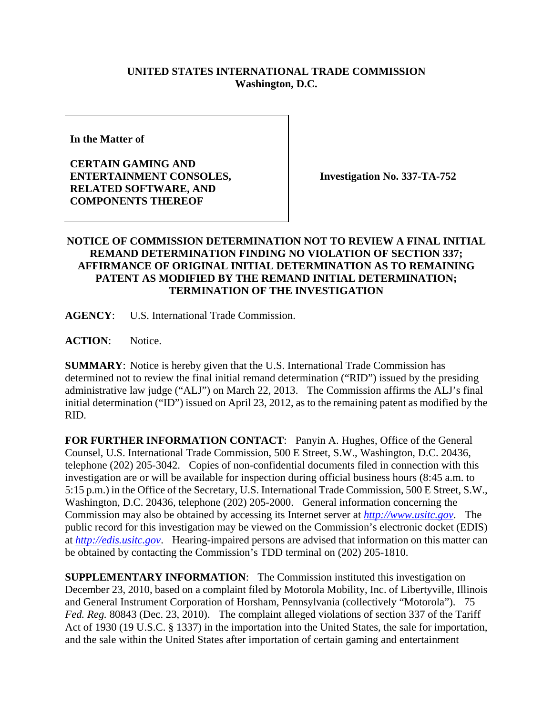## **UNITED STATES INTERNATIONAL TRADE COMMISSION Washington, D.C.**

**In the Matter of** 

**CERTAIN GAMING AND ENTERTAINMENT CONSOLES, RELATED SOFTWARE, AND COMPONENTS THEREOF** 

**Investigation No. 337-TA-752** 

## **NOTICE OF COMMISSION DETERMINATION NOT TO REVIEW A FINAL INITIAL REMAND DETERMINATION FINDING NO VIOLATION OF SECTION 337; AFFIRMANCE OF ORIGINAL INITIAL DETERMINATION AS TO REMAINING PATENT AS MODIFIED BY THE REMAND INITIAL DETERMINATION; TERMINATION OF THE INVESTIGATION**

**AGENCY**: U.S. International Trade Commission.

**ACTION**: Notice.

**SUMMARY**: Notice is hereby given that the U.S. International Trade Commission has determined not to review the final initial remand determination ("RID") issued by the presiding administrative law judge ("ALJ") on March 22, 2013. The Commission affirms the ALJ's final initial determination ("ID") issued on April 23, 2012, as to the remaining patent as modified by the RID.

**FOR FURTHER INFORMATION CONTACT**: Panyin A. Hughes, Office of the General Counsel, U.S. International Trade Commission, 500 E Street, S.W., Washington, D.C. 20436, telephone (202) 205-3042. Copies of non-confidential documents filed in connection with this investigation are or will be available for inspection during official business hours (8:45 a.m. to 5:15 p.m.) in the Office of the Secretary, U.S. International Trade Commission, 500 E Street, S.W., Washington, D.C. 20436, telephone (202) 205-2000. General information concerning the Commission may also be obtained by accessing its Internet server at *http://www.usitc.gov*. The public record for this investigation may be viewed on the Commission's electronic docket (EDIS) at *http://edis.usitc.gov*. Hearing-impaired persons are advised that information on this matter can be obtained by contacting the Commission's TDD terminal on (202) 205-1810.

**SUPPLEMENTARY INFORMATION**: The Commission instituted this investigation on December 23, 2010, based on a complaint filed by Motorola Mobility, Inc. of Libertyville, Illinois and General Instrument Corporation of Horsham, Pennsylvania (collectively "Motorola"). 75 *Fed. Reg.* 80843 (Dec. 23, 2010). The complaint alleged violations of section 337 of the Tariff Act of 1930 (19 U.S.C. § 1337) in the importation into the United States, the sale for importation, and the sale within the United States after importation of certain gaming and entertainment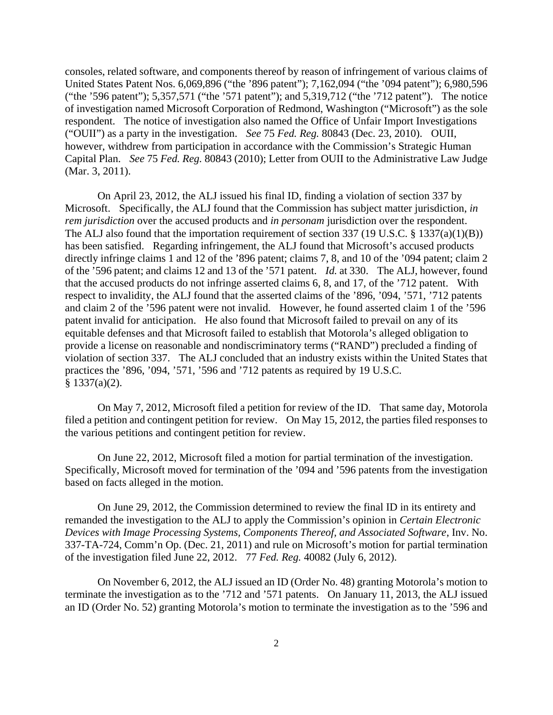consoles, related software, and components thereof by reason of infringement of various claims of United States Patent Nos. 6,069,896 ("the '896 patent"); 7,162,094 ("the '094 patent"); 6,980,596 ("the '596 patent"); 5,357,571 ("the '571 patent"); and 5,319,712 ("the '712 patent"). The notice of investigation named Microsoft Corporation of Redmond, Washington ("Microsoft") as the sole respondent. The notice of investigation also named the Office of Unfair Import Investigations ("OUII") as a party in the investigation. *See* 75 *Fed. Reg.* 80843 (Dec. 23, 2010). OUII, however, withdrew from participation in accordance with the Commission's Strategic Human Capital Plan. *See* 75 *Fed. Reg.* 80843 (2010); Letter from OUII to the Administrative Law Judge (Mar. 3, 2011).

 On April 23, 2012, the ALJ issued his final ID, finding a violation of section 337 by Microsoft. Specifically, the ALJ found that the Commission has subject matter jurisdiction, *in rem jurisdiction* over the accused products and *in personam* jurisdiction over the respondent. The ALJ also found that the importation requirement of section 337 (19 U.S.C. § 1337(a)(1)(B)) has been satisfied. Regarding infringement, the ALJ found that Microsoft's accused products directly infringe claims 1 and 12 of the '896 patent; claims 7, 8, and 10 of the '094 patent; claim 2 of the '596 patent; and claims 12 and 13 of the '571 patent. *Id.* at 330. The ALJ, however, found that the accused products do not infringe asserted claims 6, 8, and 17, of the '712 patent. With respect to invalidity, the ALJ found that the asserted claims of the '896, '094, '571, '712 patents and claim 2 of the '596 patent were not invalid. However, he found asserted claim 1 of the '596 patent invalid for anticipation. He also found that Microsoft failed to prevail on any of its equitable defenses and that Microsoft failed to establish that Motorola's alleged obligation to provide a license on reasonable and nondiscriminatory terms ("RAND") precluded a finding of violation of section 337. The ALJ concluded that an industry exists within the United States that practices the '896, '094, '571, '596 and '712 patents as required by 19 U.S.C.  $§ 1337(a)(2).$ 

 On May 7, 2012, Microsoft filed a petition for review of the ID. That same day, Motorola filed a petition and contingent petition for review. On May 15, 2012, the parties filed responses to the various petitions and contingent petition for review.

On June 22, 2012, Microsoft filed a motion for partial termination of the investigation. Specifically, Microsoft moved for termination of the '094 and '596 patents from the investigation based on facts alleged in the motion.

On June 29, 2012, the Commission determined to review the final ID in its entirety and remanded the investigation to the ALJ to apply the Commission's opinion in *Certain Electronic Devices with Image Processing Systems, Components Thereof, and Associated Software*, Inv. No. 337-TA-724, Comm'n Op. (Dec. 21, 2011) and rule on Microsoft's motion for partial termination of the investigation filed June 22, 2012. 77 *Fed. Reg.* 40082 (July 6, 2012).

On November 6, 2012, the ALJ issued an ID (Order No. 48) granting Motorola's motion to terminate the investigation as to the '712 and '571 patents. On January 11, 2013, the ALJ issued an ID (Order No. 52) granting Motorola's motion to terminate the investigation as to the '596 and